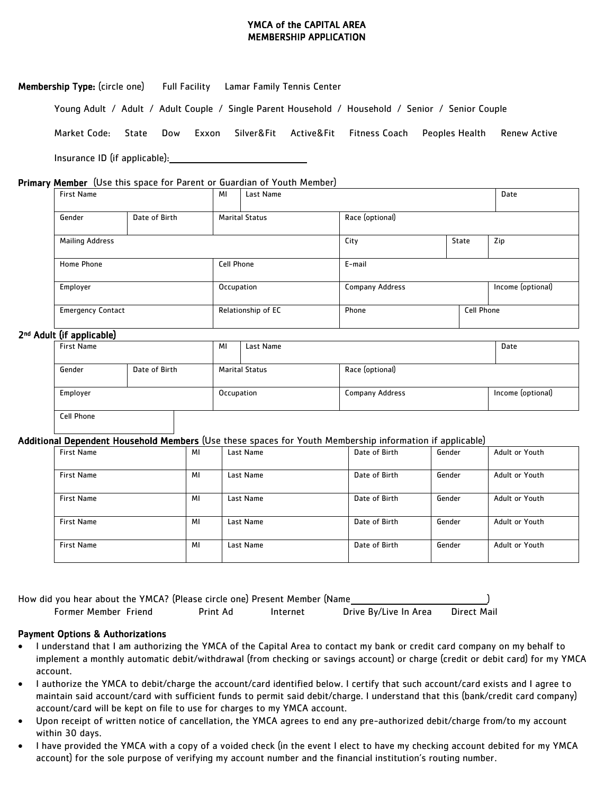### YMCA of the CAPITAL AREA MEMBERSHIP APPLICATION

| <b>Membership Type:</b> (circle one) Full Facility Lamar Family Tennis Center |     |       |  |                                     |                                                                                                   |              |
|-------------------------------------------------------------------------------|-----|-------|--|-------------------------------------|---------------------------------------------------------------------------------------------------|--------------|
|                                                                               |     |       |  |                                     | Young Adult / Adult / Adult Couple / Single Parent Household / Household / Senior / Senior Couple |              |
| Market Code: State                                                            | Dow | Exxon |  | Silver&Fit Active&Fit Fitness Coach | Peoples Health                                                                                    | Renew Active |
| Insurance ID (if applicable):                                                 |     |       |  |                                     |                                                                                                   |              |

#### Primary Member (Use this space for Parent or Guardian of Youth Member)

| <b>First Name</b>               |               | MI         | Last Name                                |                        |       | Date |                   |
|---------------------------------|---------------|------------|------------------------------------------|------------------------|-------|------|-------------------|
| Gender                          | Date of Birth |            | Race (optional)<br><b>Marital Status</b> |                        |       |      |                   |
| <b>Mailing Address</b>          |               |            |                                          | City                   | State |      | Zip               |
| Cell Phone<br><b>Home Phone</b> |               |            |                                          | E-mail                 |       |      |                   |
| Employer                        |               | Occupation |                                          | <b>Company Address</b> |       |      | Income (optional) |
| <b>Emergency Contact</b>        |               |            | Relationship of EC                       | Cell Phone<br>Phone    |       |      |                   |

### 2<sup>nd</sup> Adult (if applicable)

| .<br><b>First Name</b>  |  | ΜI         | Last Name                                |                        | Date              |  |
|-------------------------|--|------------|------------------------------------------|------------------------|-------------------|--|
|                         |  |            |                                          |                        |                   |  |
| Gender<br>Date of Birth |  |            | Race (optional)<br><b>Marital Status</b> |                        |                   |  |
|                         |  |            |                                          |                        |                   |  |
| Employer                |  | Occupation |                                          | <b>Company Address</b> | Income (optional) |  |
|                         |  |            |                                          |                        |                   |  |
| <b>Cell Phone</b>       |  |            |                                          |                        |                   |  |

#### Additional Dependent Household Members (Use these spaces for Youth Membership information if applicable)

| <b>First Name</b> | MI | Last Name | Date of Birth | Gender | Adult or Youth |
|-------------------|----|-----------|---------------|--------|----------------|
| <b>First Name</b> | MI | Last Name | Date of Birth | Gender | Adult or Youth |
| <b>First Name</b> | MI | Last Name | Date of Birth | Gender | Adult or Youth |
| <b>First Name</b> | MI | Last Name | Date of Birth | Gender | Adult or Youth |
| <b>First Name</b> | MI | Last Name | Date of Birth | Gender | Adult or Youth |

How did you hear about the YMCA? (Please circle one) Present Member (Name )

Former Member Friend Print Ad Internet Drive By/Live In Area Direct Mail

#### Payment Options & Authorizations

- I understand that I am authorizing the YMCA of the Capital Area to contact my bank or credit card company on my behalf to implement a monthly automatic debit/withdrawal (from checking or savings account) or charge (credit or debit card) for my YMCA account.
- I authorize the YMCA to debit/charge the account/card identified below. I certify that such account/card exists and I agree to maintain said account/card with sufficient funds to permit said debit/charge. I understand that this (bank/credit card company) account/card will be kept on file to use for charges to my YMCA account.
- Upon receipt of written notice of cancellation, the YMCA agrees to end any pre-authorized debit/charge from/to my account within 30 days.
- I have provided the YMCA with a copy of a voided check (in the event I elect to have my checking account debited for my YMCA account) for the sole purpose of verifying my account number and the financial institution's routing number.